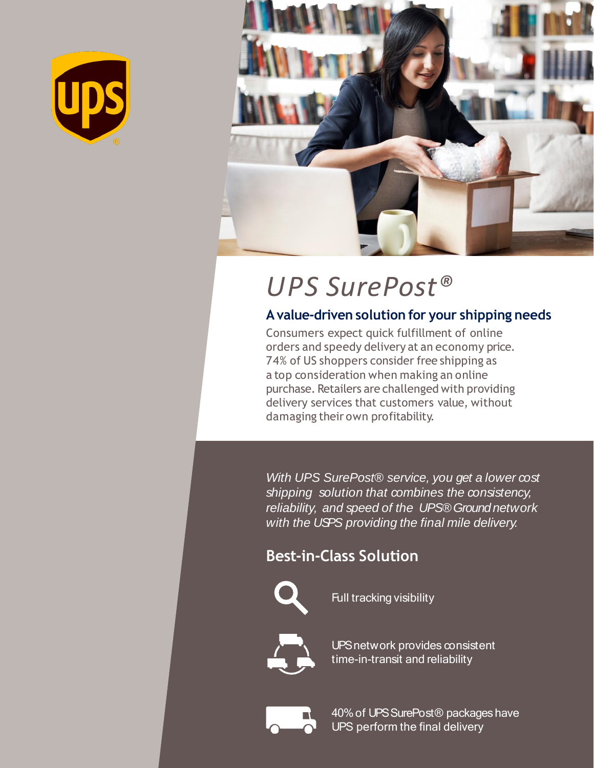



# *UPS SurePost®*

#### **Avalue-driven solution for your shipping needs**

Consumers expect quick fulfillment of online orders and speedy delivery at an economy price. 74% of US shoppers consider free shipping as a top consideration when making an online purchase. Retailers are challenged with providing delivery services that customers value, without damaging their own profitability.

*With UPS SurePost® service, you get a lower cost shipping solution that combines the consistency, reliability, and speed of the UPS® Ground network with the USPS providing the final mile delivery.*

# **Best-in-Class Solution**



Full tracking visibility



UPSnetwork provides consistent time-in-transit and reliability



40%of UPSSurePost® packages have UPS perform the final delivery